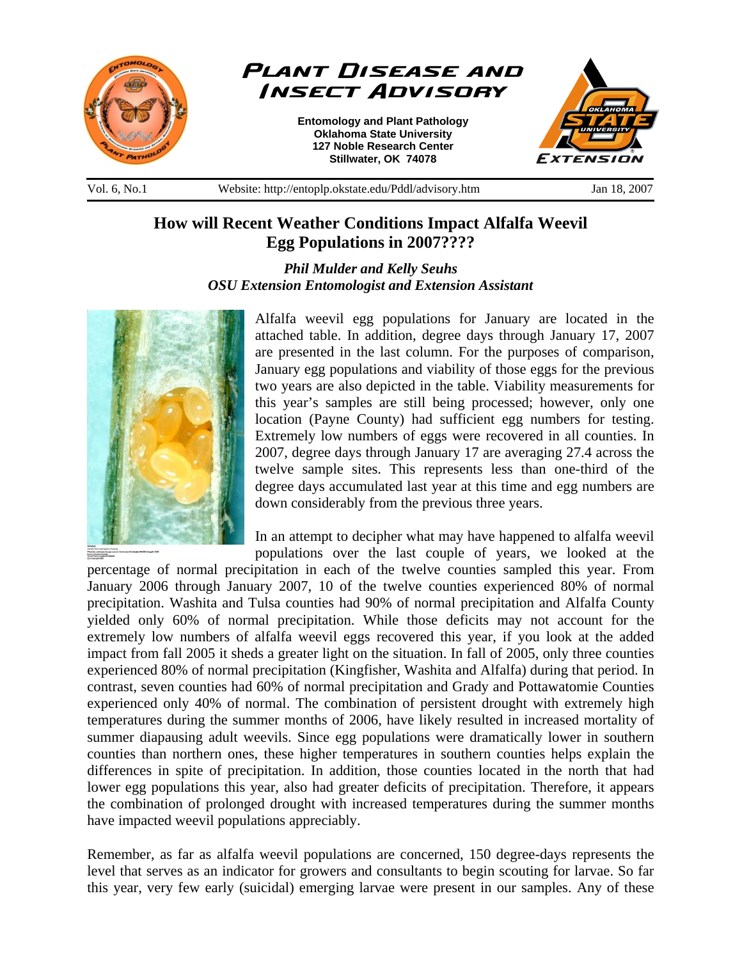



**Entomology and Plant Pathology Oklahoma State University 127 Noble Research Center Stillwater, OK 74078** 



Vol. 6, No.1 Website: http://entoplp.okstate.edu/Pddl/advisory.htm Jan 18, 2007

## **How will Recent Weather Conditions Impact Alfalfa Weevil Egg Populations in 2007????**

*Phil Mulder and Kelly Seuhs OSU Extension Entomologist and Extension Assistant*



Alfalfa weevil egg populations for January are located in the attached table. In addition, degree days through January 17, 2007 are presented in the last column. For the purposes of comparison, January egg populations and viability of those eggs for the previous two years are also depicted in the table. Viability measurements for this year's samples are still being processed; however, only one location (Payne County) had sufficient egg numbers for testing. Extremely low numbers of eggs were recovered in all counties. In 2007, degree days through January 17 are averaging 27.4 across the twelve sample sites. This represents less than one-third of the degree days accumulated last year at this time and egg numbers are down considerably from the previous three years.

In an attempt to decipher what may have happened to alfalfa weevil populations over the last couple of years, we looked at the

percentage of normal precipitation in each of the twelve counties sampled this year. From January 2006 through January 2007, 10 of the twelve counties experienced 80% of normal precipitation. Washita and Tulsa counties had 90% of normal precipitation and Alfalfa County yielded only 60% of normal precipitation. While those deficits may not account for the extremely low numbers of alfalfa weevil eggs recovered this year, if you look at the added impact from fall 2005 it sheds a greater light on the situation. In fall of 2005, only three counties experienced 80% of normal precipitation (Kingfisher, Washita and Alfalfa) during that period. In contrast, seven counties had 60% of normal precipitation and Grady and Pottawatomie Counties experienced only 40% of normal. The combination of persistent drought with extremely high temperatures during the summer months of 2006, have likely resulted in increased mortality of summer diapausing adult weevils. Since egg populations were dramatically lower in southern counties than northern ones, these higher temperatures in southern counties helps explain the differences in spite of precipitation. In addition, those counties located in the north that had lower egg populations this year, also had greater deficits of precipitation. Therefore, it appears the combination of prolonged drought with increased temperatures during the summer months have impacted weevil populations appreciably.

Remember, as far as alfalfa weevil populations are concerned, 150 degree-days represents the level that serves as an indicator for growers and consultants to begin scouting for larvae. So far this year, very few early (suicidal) emerging larvae were present in our samples. Any of these